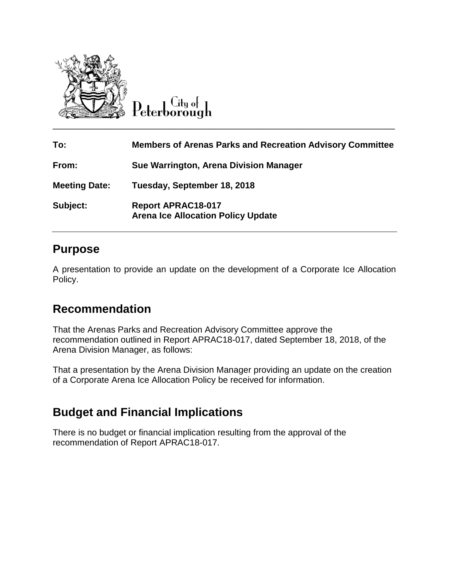

 $C$ ity ot

| To:                  | <b>Members of Arenas Parks and Recreation Advisory Committee</b>       |
|----------------------|------------------------------------------------------------------------|
| From:                | Sue Warrington, Arena Division Manager                                 |
| <b>Meeting Date:</b> | Tuesday, September 18, 2018                                            |
| Subject:             | <b>Report APRAC18-017</b><br><b>Arena Ice Allocation Policy Update</b> |

#### **Purpose**

A presentation to provide an update on the development of a Corporate Ice Allocation Policy.

### **Recommendation**

That the Arenas Parks and Recreation Advisory Committee approve the recommendation outlined in Report APRAC18-017, dated September 18, 2018, of the Arena Division Manager, as follows:

That a presentation by the Arena Division Manager providing an update on the creation of a Corporate Arena Ice Allocation Policy be received for information.

# **Budget and Financial Implications**

There is no budget or financial implication resulting from the approval of the recommendation of Report APRAC18-017.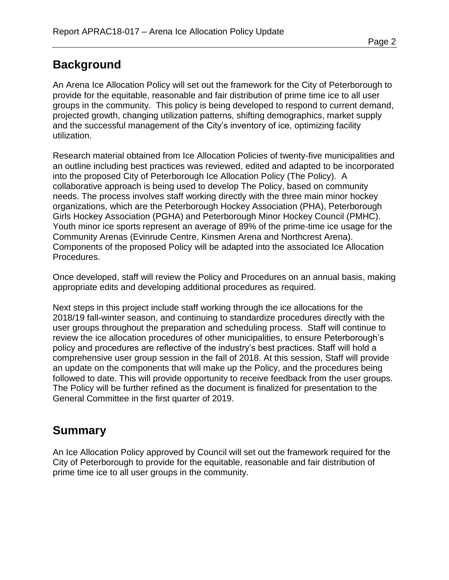## **Background**

An Arena Ice Allocation Policy will set out the framework for the City of Peterborough to provide for the equitable, reasonable and fair distribution of prime time ice to all user groups in the community. This policy is being developed to respond to current demand, projected growth, changing utilization patterns, shifting demographics, market supply and the successful management of the City's inventory of ice, optimizing facility utilization.

Research material obtained from Ice Allocation Policies of twenty-five municipalities and an outline including best practices was reviewed, edited and adapted to be incorporated into the proposed City of Peterborough Ice Allocation Policy (The Policy). A collaborative approach is being used to develop The Policy, based on community needs. The process involves staff working directly with the three main minor hockey organizations, which are the Peterborough Hockey Association (PHA), Peterborough Girls Hockey Association (PGHA) and Peterborough Minor Hockey Council (PMHC). Youth minor ice sports represent an average of 89% of the prime-time ice usage for the Community Arenas (Evinrude Centre, Kinsmen Arena and Northcrest Arena). Components of the proposed Policy will be adapted into the associated Ice Allocation Procedures.

Once developed, staff will review the Policy and Procedures on an annual basis, making appropriate edits and developing additional procedures as required.

Next steps in this project include staff working through the ice allocations for the 2018/19 fall-winter season, and continuing to standardize procedures directly with the user groups throughout the preparation and scheduling process. Staff will continue to review the ice allocation procedures of other municipalities, to ensure Peterborough's policy and procedures are reflective of the industry's best practices. Staff will hold a comprehensive user group session in the fall of 2018. At this session, Staff will provide an update on the components that will make up the Policy, and the procedures being followed to date. This will provide opportunity to receive feedback from the user groups. The Policy will be further refined as the document is finalized for presentation to the General Committee in the first quarter of 2019.

### **Summary**

An Ice Allocation Policy approved by Council will set out the framework required for the City of Peterborough to provide for the equitable, reasonable and fair distribution of prime time ice to all user groups in the community.